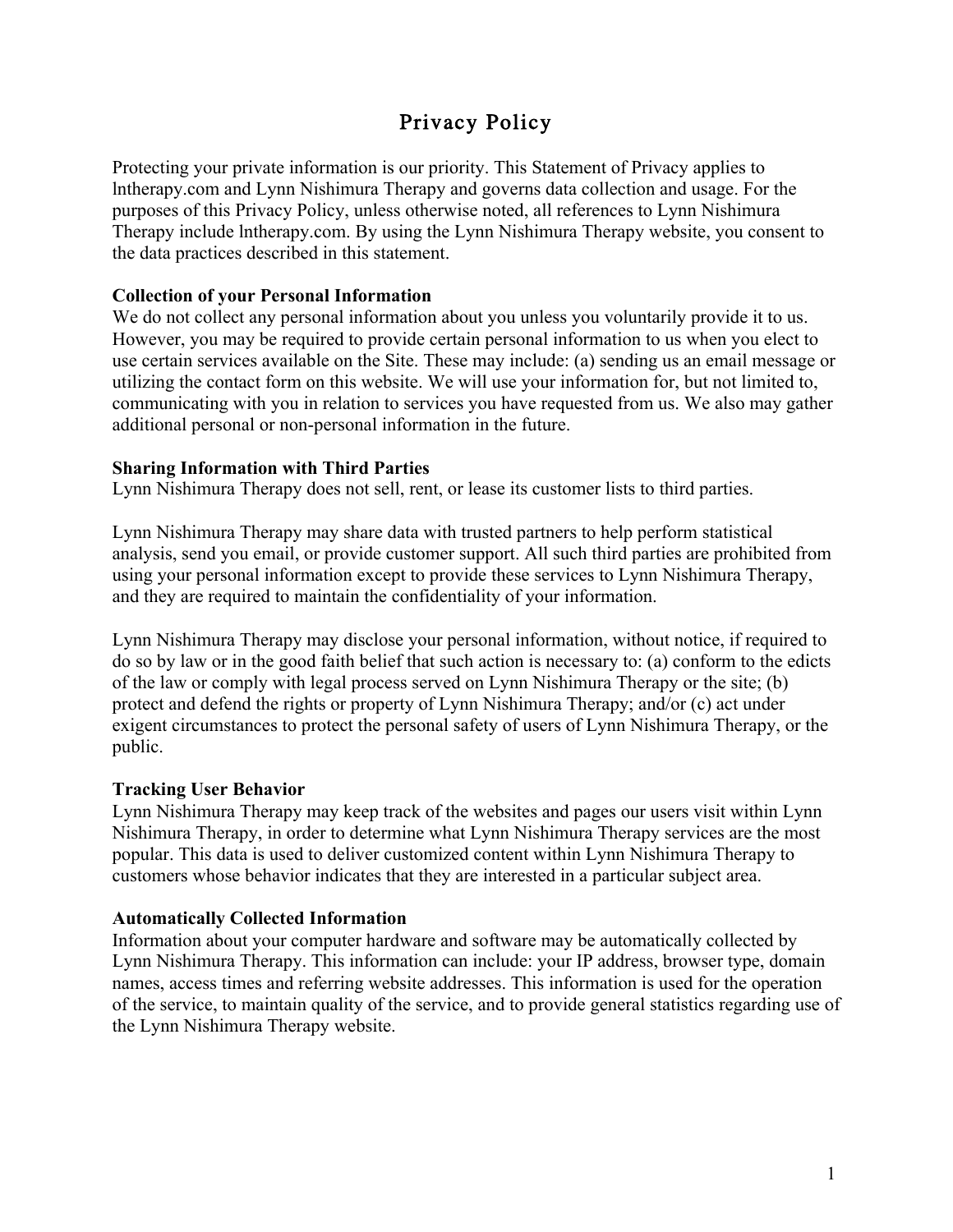# Privacy Policy

Protecting your private information is our priority. This Statement of Privacy applies to lntherapy.com and Lynn Nishimura Therapy and governs data collection and usage. For the purposes of this Privacy Policy, unless otherwise noted, all references to Lynn Nishimura Therapy include lntherapy.com. By using the Lynn Nishimura Therapy website, you consent to the data practices described in this statement.

# **Collection of your Personal Information**

We do not collect any personal information about you unless you voluntarily provide it to us. However, you may be required to provide certain personal information to us when you elect to use certain services available on the Site. These may include: (a) sending us an email message or utilizing the contact form on this website. We will use your information for, but not limited to, communicating with you in relation to services you have requested from us. We also may gather additional personal or non-personal information in the future.

#### **Sharing Information with Third Parties**

Lynn Nishimura Therapy does not sell, rent, or lease its customer lists to third parties.

Lynn Nishimura Therapy may share data with trusted partners to help perform statistical analysis, send you email, or provide customer support. All such third parties are prohibited from using your personal information except to provide these services to Lynn Nishimura Therapy, and they are required to maintain the confidentiality of your information.

Lynn Nishimura Therapy may disclose your personal information, without notice, if required to do so by law or in the good faith belief that such action is necessary to: (a) conform to the edicts of the law or comply with legal process served on Lynn Nishimura Therapy or the site; (b) protect and defend the rights or property of Lynn Nishimura Therapy; and/or (c) act under exigent circumstances to protect the personal safety of users of Lynn Nishimura Therapy, or the public.

#### **Tracking User Behavior**

Lynn Nishimura Therapy may keep track of the websites and pages our users visit within Lynn Nishimura Therapy, in order to determine what Lynn Nishimura Therapy services are the most popular. This data is used to deliver customized content within Lynn Nishimura Therapy to customers whose behavior indicates that they are interested in a particular subject area.

#### **Automatically Collected Information**

Information about your computer hardware and software may be automatically collected by Lynn Nishimura Therapy. This information can include: your IP address, browser type, domain names, access times and referring website addresses. This information is used for the operation of the service, to maintain quality of the service, and to provide general statistics regarding use of the Lynn Nishimura Therapy website.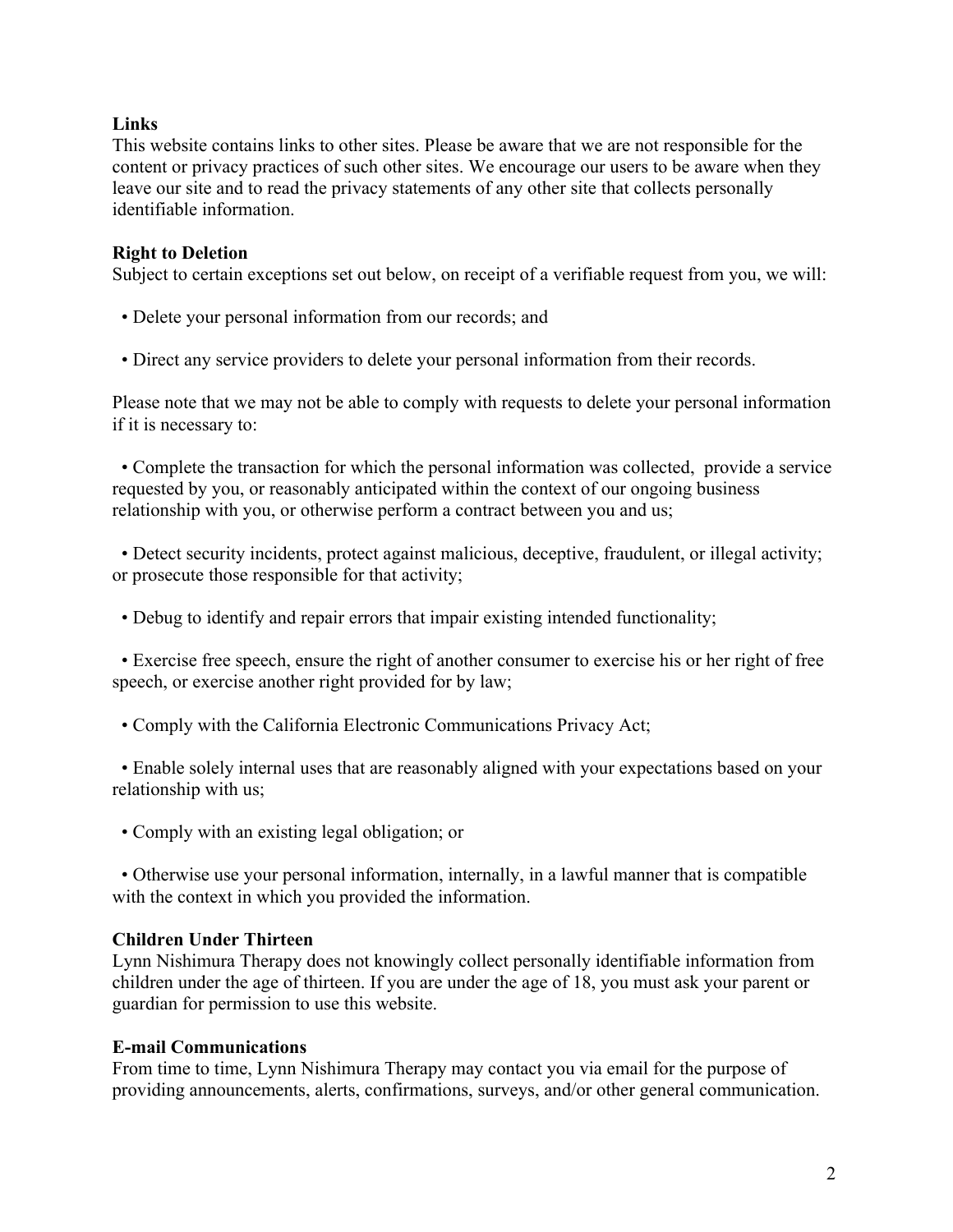# **Links**

This website contains links to other sites. Please be aware that we are not responsible for the content or privacy practices of such other sites. We encourage our users to be aware when they leave our site and to read the privacy statements of any other site that collects personally identifiable information.

### **Right to Deletion**

Subject to certain exceptions set out below, on receipt of a verifiable request from you, we will:

- Delete your personal information from our records; and
- Direct any service providers to delete your personal information from their records.

Please note that we may not be able to comply with requests to delete your personal information if it is necessary to:

• Complete the transaction for which the personal information was collected, provide a service requested by you, or reasonably anticipated within the context of our ongoing business relationship with you, or otherwise perform a contract between you and us;

• Detect security incidents, protect against malicious, deceptive, fraudulent, or illegal activity; or prosecute those responsible for that activity;

• Debug to identify and repair errors that impair existing intended functionality;

• Exercise free speech, ensure the right of another consumer to exercise his or her right of free speech, or exercise another right provided for by law;

• Comply with the California Electronic Communications Privacy Act;

• Enable solely internal uses that are reasonably aligned with your expectations based on your relationship with us;

• Comply with an existing legal obligation; or

• Otherwise use your personal information, internally, in a lawful manner that is compatible with the context in which you provided the information.

# **Children Under Thirteen**

Lynn Nishimura Therapy does not knowingly collect personally identifiable information from children under the age of thirteen. If you are under the age of 18, you must ask your parent or guardian for permission to use this website.

#### **E-mail Communications**

From time to time, Lynn Nishimura Therapy may contact you via email for the purpose of providing announcements, alerts, confirmations, surveys, and/or other general communication.